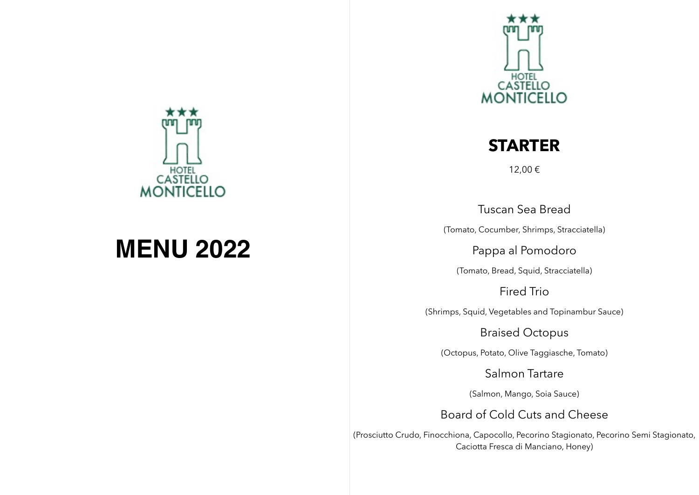

# **MENU 2022**



### **STARTER**

12,00 €

Tuscan Sea Bread

(Tomato, Cocumber, Shrimps, Stracciatella)

Pappa al Pomodoro

(Tomato, Bread, Squid, Stracciatella)

Fired Trio

(Shrimps, Squid, Vegetables and Topinambur Sauce)

Braised Octopus

(Octopus, Potato, Olive Taggiasche, Tomato)

Salmon Tartare

(Salmon, Mango, Soia Sauce)

Board of Cold Cuts and Cheese

(Prosciutto Crudo, Finocchiona, Capocollo, Pecorino Stagionato, Pecorino Semi Stagionato, Caciotta Fresca di Manciano, Honey)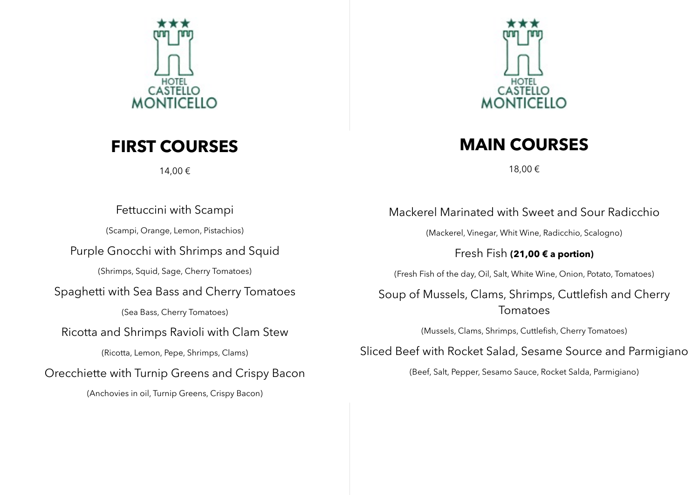

### **FIRST COURSES**

14,00 €



### **MAIN COURSES**

18,00 €

Fettuccini with Scampi

(Scampi, Orange, Lemon, Pistachios)

Purple Gnocchi with Shrimps and Squid

(Shrimps, Squid, Sage, Cherry Tomatoes)

### Spaghetti with Sea Bass and Cherry Tomatoes

(Sea Bass, Cherry Tomatoes)

### Ricotta and Shrimps Ravioli with Clam Stew

(Ricotta, Lemon, Pepe, Shrimps, Clams)

### Orecchiette with Turnip Greens and Crispy Bacon

(Anchovies in oil, Turnip Greens, Crispy Bacon)

Mackerel Marinated with Sweet and Sour Radicchio

(Mackerel, Vinegar, Whit Wine, Radicchio, Scalogno)

Fresh Fish **(21,00 € a portion)**

(Fresh Fish of the day, Oil, Salt, White Wine, Onion, Potato, Tomatoes)

### Soup of Mussels, Clams, Shrimps, Cuttlefish and Cherry Tomatoes

(Mussels, Clams, Shrimps, Cuttlefish, Cherry Tomatoes)

Sliced Beef with Rocket Salad, Sesame Source and Parmigiano

(Beef, Salt, Pepper, Sesamo Sauce, Rocket Salda, Parmigiano)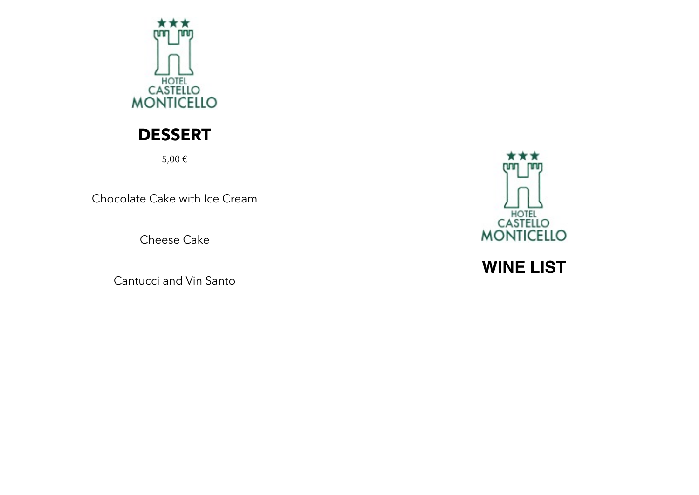

## **DESSERT**

5,00 €

Chocolate Cake with Ice Cream

Cheese Cake

Cantucci and Vin Santo



**WINE LIST**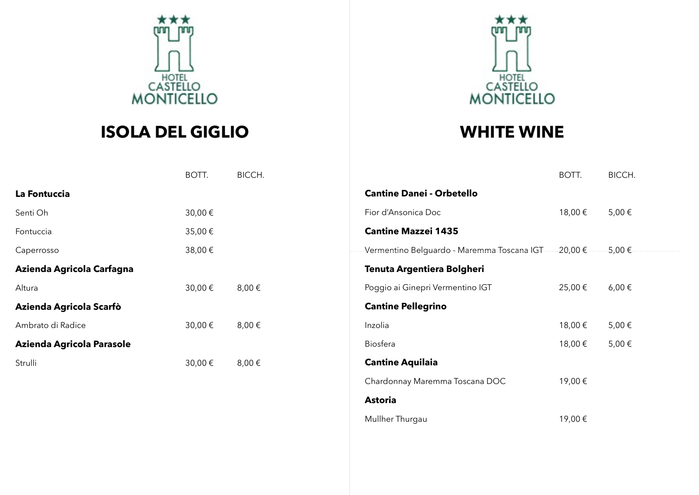

# **ISOLA DEL GIGLIO**



### **WHITE WINE**

Mullher Thurgau 19,00 €

|                           | BOTT.   | BICCH. |                                                                                  | BOTT.   | BICCH.     |
|---------------------------|---------|--------|----------------------------------------------------------------------------------|---------|------------|
| La Fontuccia              |         |        | <b>Cantine Danei - Orbetello</b>                                                 |         |            |
| Senti Oh                  | 30,00€  |        | Fior d'Ansonica Doc                                                              | 18,00€  | 5,00€      |
| Fontuccia                 | 35,00 € |        | <b>Cantine Mazzei 1435</b>                                                       |         |            |
| Caperrosso                | 38,00 € |        | -Vermentino Belguardo - Maremma Toscana IGT - - - - - 20,00 € - - - - - - 5,00 € |         |            |
| Azienda Agricola Carfagna |         |        | Tenuta Argentiera Bolgheri                                                       |         |            |
| Altura                    | 30,00 € | 8,00€  | Poggio ai Ginepri Vermentino IGT                                                 | 25,00€  | $6,00 \in$ |
| Azienda Agricola Scarfò   |         |        | <b>Cantine Pellegrino</b>                                                        |         |            |
| Ambrato di Radice         | 30,00 € | 8,00€  | Inzolia                                                                          | 18,00 € | 5,00€      |
| Azienda Agricola Parasole |         |        | Biosfera                                                                         | 18,00 € | 5,00€      |
| Strulli                   | 30,00 € | 8,00€  | <b>Cantine Aquilaia</b>                                                          |         |            |
|                           |         |        | Chardonnay Maremma Toscana DOC                                                   | 19,00€  |            |

**Astoria**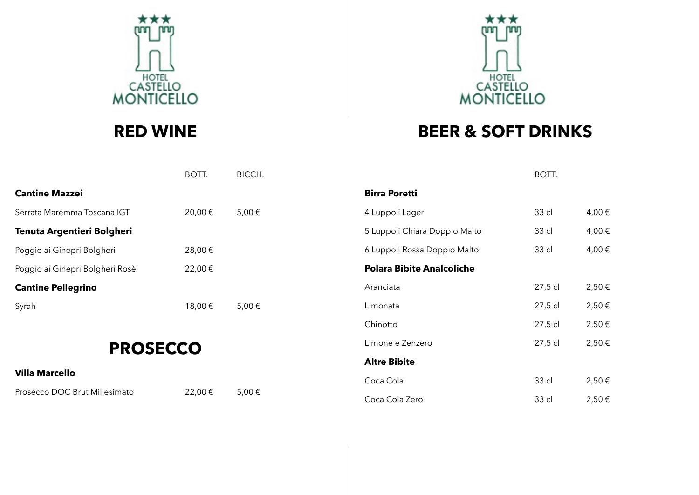

# **RED WINE**

# **CASTELLO**<br>MONTICELLO

# **BEER & SOFT DRINKS**

BOTT.

|                                 | BOTT.  | BICCH. |                      |
|---------------------------------|--------|--------|----------------------|
| <b>Cantine Mazzei</b>           |        |        | <b>Birra Poretti</b> |
| Serrata Maremma Toscana IGT     | 20,00€ | 5,00€  | 4 Luppoli Lag        |
| Tenuta Argentieri Bolgheri      |        |        | 5 Luppoli Chia       |
| Poggio ai Ginepri Bolgheri      | 28,00€ |        | 6 Luppoli Ross       |
| Poggio ai Ginepri Bolgheri Rosè | 22,00€ |        | Polara Bibit         |
| <b>Cantine Pellegrino</b>       |        |        | Aranciata            |
| Syrah                           | 18,00€ | 5,00€  | Limonata             |
|                                 |        |        |                      |

# **PROSECCO**

### **Villa Marcello**

Prosecco DOC Brut Millesimato 22,00 € 5,00 €

| pirra Poretti                    |         |        |
|----------------------------------|---------|--------|
| 4 Luppoli Lager                  | 33 cl   | 4,00 € |
| 5 Luppoli Chiara Doppio Malto    | 33 cl   | 4,00€  |
| 6 Luppoli Rossa Doppio Malto     | 33 cl   | 4,00€  |
| <b>Polara Bibite Analcoliche</b> |         |        |
| Aranciata                        | 27,5 cl | 2,50€  |
| Limonata                         | 27,5 cl | 2,50€  |
| Chinotto                         | 27,5 cl | 2,50€  |
| Limone e Zenzero                 | 27,5 cl | 2,50€  |
| <b>Altre Bibite</b>              |         |        |
| Coca Cola                        | 33 cl   | 2,50€  |
| Coca Cola Zero                   | 33 cl   | 2,50€  |